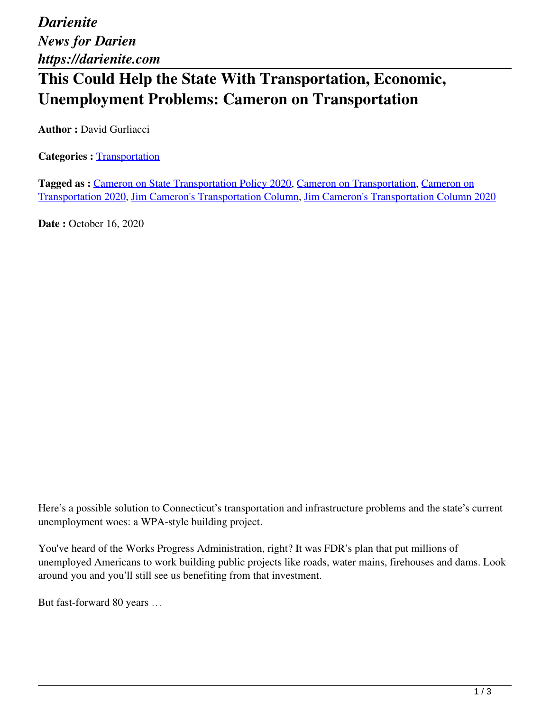*Darienite News for Darien https://darienite.com*

## **This Could Help the State With Transportation, Economic, Unemployment Problems: Cameron on Transportation**

**Author : David Gurliacci** 

**Categories : [Transportation](https://darienite.com/category/news/transportation)** 

**Tagged as :** Cameron on State Transportation Policy 2020, Cameron on Transportation, Cameron on Transportation 2020, Jim Cameron's Transportation Column, Jim Cameron's Transportation Column 2020

**Date : October 16, 2020** 

Here's a possible solution to Connecticut's transportation and infrastructure problems and the state's current unemployment woes: a WPA-style building project.

You've heard of the Works Progress Administration, right? It was FDR's plan that put millions of unemployed Americans to work building public projects like roads, water mains, firehouses and dams. Look around you and you'll still see us benefiting from that investment.

But fast-forward 80 years …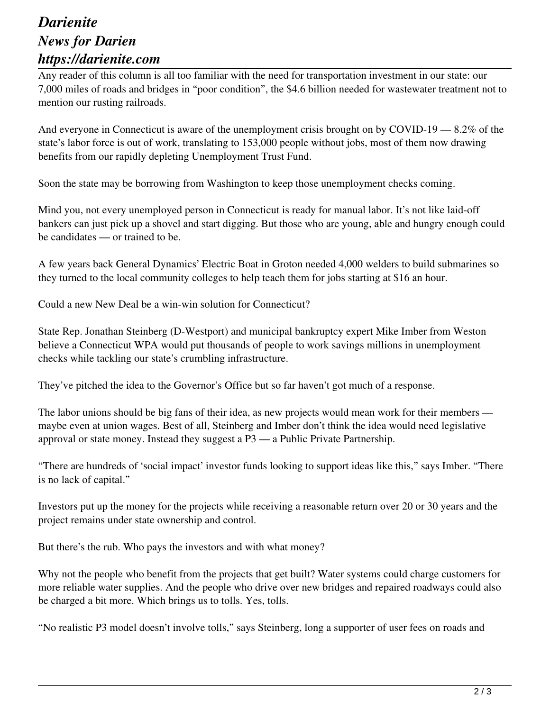## *Darienite News for Darien https://darienite.com*

Any reader of this column is all too familiar with the need for transportation investment in our state: our 7,000 miles of roads and bridges in "poor condition", the \$4.6 billion needed for wastewater treatment not to mention our rusting railroads.

And everyone in Connecticut is aware of the unemployment crisis brought on by COVID-19 — 8.2% of the state's labor force is out of work, translating to 153,000 people without jobs, most of them now drawing benefits from our rapidly depleting Unemployment Trust Fund.

Soon the state may be borrowing from Washington to keep those unemployment checks coming.

Mind you, not every unemployed person in Connecticut is ready for manual labor. It's not like laid-off bankers can just pick up a shovel and start digging. But those who are young, able and hungry enough could be candidates — or trained to be.

A few years back General Dynamics' Electric Boat in Groton needed 4,000 welders to build submarines so they turned to the local community colleges to help teach them for jobs starting at \$16 an hour.

Could a new New Deal be a win-win solution for Connecticut?

State Rep. Jonathan Steinberg (D-Westport) and municipal bankruptcy expert Mike Imber from Weston believe a Connecticut WPA would put thousands of people to work savings millions in unemployment checks while tackling our state's crumbling infrastructure.

They've pitched the idea to the Governor's Office but so far haven't got much of a response.

The labor unions should be big fans of their idea, as new projects would mean work for their members maybe even at union wages. Best of all, Steinberg and Imber don't think the idea would need legislative approval or state money. Instead they suggest a P3 — a Public Private Partnership.

"There are hundreds of 'social impact' investor funds looking to support ideas like this," says Imber. "There is no lack of capital."

Investors put up the money for the projects while receiving a reasonable return over 20 or 30 years and the project remains under state ownership and control.

But there's the rub. Who pays the investors and with what money?

Why not the people who benefit from the projects that get built? Water systems could charge customers for more reliable water supplies. And the people who drive over new bridges and repaired roadways could also be charged a bit more. Which brings us to tolls. Yes, tolls.

"No realistic P3 model doesn't involve tolls," says Steinberg, long a supporter of user fees on roads and